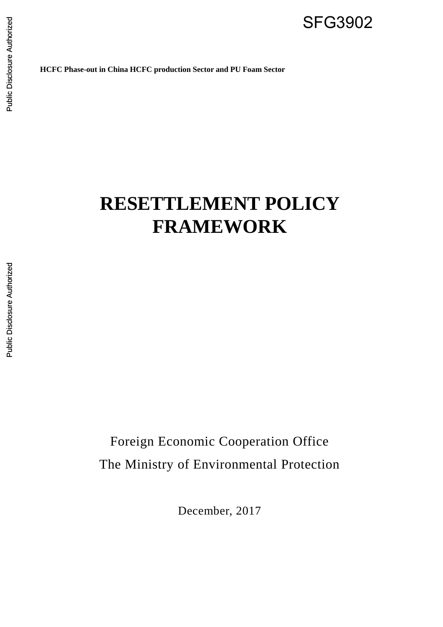SFG3902

**HCFC Phase-out in China HCFC production Sector and PU Foam Sector**

# **RESETTLEMENT POLICY FRAMEWORK**

Foreign Economic Cooperation Office The Ministry of Environmental Protection

December, 2017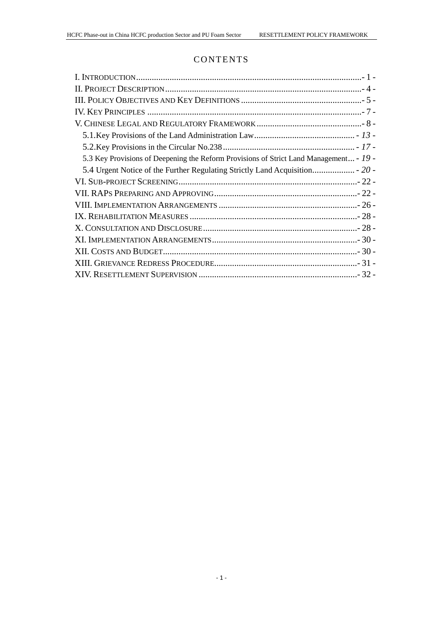# **CONTENTS**

| 5.3 Key Provisions of Deepening the Reform Provisions of Strict Land Management - 19 - |
|----------------------------------------------------------------------------------------|
|                                                                                        |
|                                                                                        |
|                                                                                        |
|                                                                                        |
|                                                                                        |
|                                                                                        |
|                                                                                        |
|                                                                                        |
|                                                                                        |
|                                                                                        |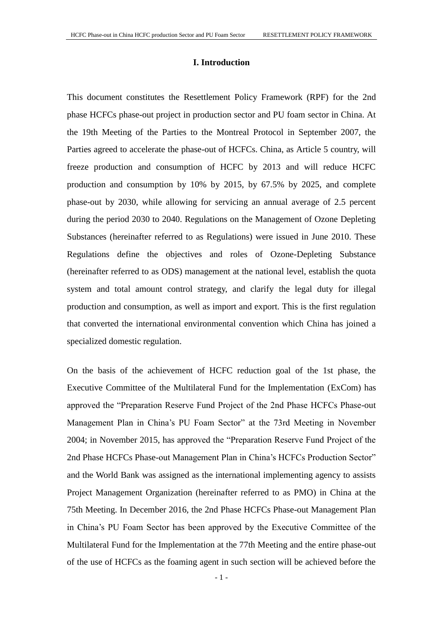# **I. Introduction**

<span id="page-3-0"></span>This document constitutes the Resettlement Policy Framework (RPF) for the 2nd phase HCFCs phase-out project in production sector and PU foam sector in China. At the 19th Meeting of the Parties to the Montreal Protocol in September 2007, the Parties agreed to accelerate the phase-out of HCFCs. China, as Article 5 country, will freeze production and consumption of HCFC by 2013 and will reduce HCFC production and consumption by 10% by 2015, by 67.5% by 2025, and complete phase-out by 2030, while allowing for servicing an annual average of 2.5 percent during the period 2030 to 2040. Regulations on the Management of Ozone Depleting Substances (hereinafter referred to as Regulations) were issued in June 2010. These Regulations define the objectives and roles of Ozone-Depleting Substance (hereinafter referred to as ODS) management at the national level, establish the quota system and total amount control strategy, and clarify the legal duty for illegal production and consumption, as well as import and export. This is the first regulation that converted the international environmental convention which China has joined a specialized domestic regulation.

On the basis of the achievement of HCFC reduction goal of the 1st phase, the [Executive Committee of the Multilateral Fund for the Implementation \(E](http://climate-l.iisd.org/news/executive-committee-of-the-multilateral-fund-for-the-implementation-of-the-montreal-protocol-considers-costs-associated-with-climate-benefits/)xCom) has approved the "Preparation Reserve Fund Project of the 2nd Phase HCFCs Phase-out Management Plan in China's PU Foam Sector" at the 73rd Meeting in November 2004; in November 2015, has approved the "Preparation Reserve Fund Project of the 2nd Phase HCFCs Phase-out Management Plan in China's HCFCs Production Sector" and the World Bank was assigned as the international implementing agency to assists Project Management Organization (hereinafter referred to as PMO) in China at the 75th Meeting. In December 2016, the 2nd Phase HCFCs Phase-out Management Plan in China's PU Foam Sector has been approved by the Executive Committee of the Multilateral Fund for the Implementation at the 77th Meeting and the entire phase-out of the use of HCFCs as the foaming agent in such section will be achieved before the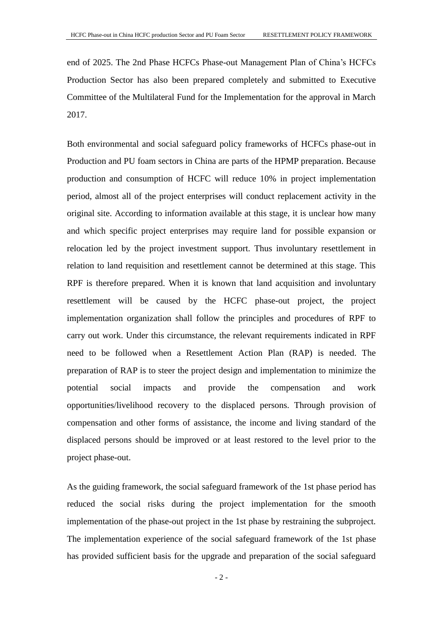end of 2025. The 2nd Phase HCFCs Phase-out Management Plan of China's HCFCs Production Sector has also been prepared completely and submitted to Executive Committee of the Multilateral Fund for the Implementation for the approval in March 2017.

Both environmental and social safeguard policy frameworks of HCFCs phase-out in Production and PU foam sectors in China are parts of the HPMP preparation. Because production and consumption of HCFC will reduce 10% in project implementation period, almost all of the project enterprises will conduct replacement activity in the original site. According to information available at this stage, it is unclear how many and which specific project enterprises may require land for possible expansion or relocation led by the project investment support. Thus involuntary resettlement in relation to land requisition and resettlement cannot be determined at this stage. This RPF is therefore prepared. When it is known that land acquisition and involuntary resettlement will be caused by the HCFC phase-out project, the project implementation organization shall follow the principles and procedures of RPF to carry out work. Under this circumstance, the relevant requirements indicated in RPF need to be followed when a Resettlement Action Plan (RAP) is needed. The preparation of RAP is to steer the project design and implementation to minimize the potential social impacts and provide the compensation and work opportunities/livelihood recovery to the displaced persons. Through provision of compensation and other forms of assistance, the income and living standard of the displaced persons should be improved or at least restored to the level prior to the project phase-out.

As the guiding framework, the social safeguard framework of the 1st phase period has reduced the social risks during the project implementation for the smooth implementation of the phase-out project in the 1st phase by restraining the subproject. The implementation experience of the social safeguard framework of the 1st phase has provided sufficient basis for the upgrade and preparation of the social safeguard

 $-2-$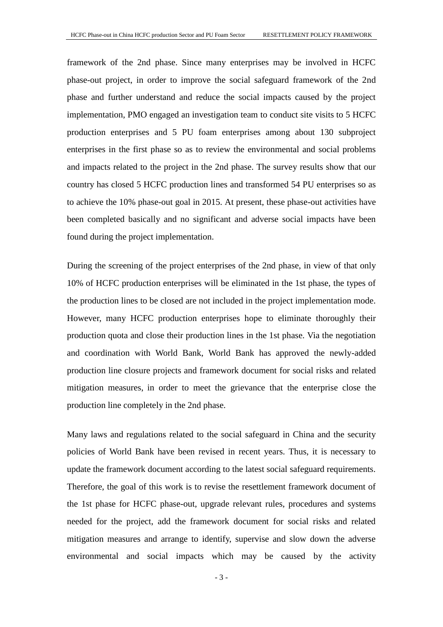framework of the 2nd phase. Since many enterprises may be involved in HCFC phase-out project, in order to improve the social safeguard framework of the 2nd phase and further understand and reduce the social impacts caused by the project implementation, PMO engaged an investigation team to conduct site visits to 5 HCFC production enterprises and 5 PU foam enterprises among about 130 subproject enterprises in the first phase so as to review the environmental and social problems and impacts related to the project in the 2nd phase. The survey results show that our country has closed 5 HCFC production lines and transformed 54 PU enterprises so as to achieve the 10% phase-out goal in 2015. At present, these phase-out activities have been completed basically and no significant and adverse social impacts have been found during the project implementation.

During the screening of the project enterprises of the 2nd phase, in view of that only 10% of HCFC production enterprises will be eliminated in the 1st phase, the types of the production lines to be closed are not included in the project implementation mode. However, many HCFC production enterprises hope to eliminate thoroughly their production quota and close their production lines in the 1st phase. Via the negotiation and coordination with World Bank, World Bank has approved the newly-added production line closure projects and framework document for social risks and related mitigation measures, in order to meet the grievance that the enterprise close the production line completely in the 2nd phase.

Many laws and regulations related to the social safeguard in China and the security policies of World Bank have been revised in recent years. Thus, it is necessary to update the framework document according to the latest social safeguard requirements. Therefore, the goal of this work is to revise the resettlement framework document of the 1st phase for HCFC phase-out, upgrade relevant rules, procedures and systems needed for the project, add the framework document for social risks and related mitigation measures and arrange to identify, supervise and slow down the adverse environmental and social impacts which may be caused by the activity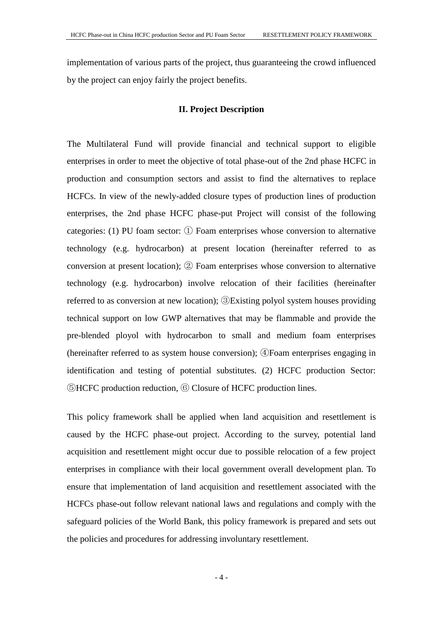implementation of various parts of the project, thus guaranteeing the crowd influenced by the project can enjoy fairly the project benefits.

# **II. Project Description**

<span id="page-6-0"></span>The Multilateral Fund will provide financial and technical support to eligible enterprises in order to meet the objective of total phase-out of the 2nd phase HCFC in production and consumption sectors and assist to find the alternatives to replace HCFCs. In view of the newly-added closure types of production lines of production enterprises, the 2nd phase HCFC phase-put Project will consist of the following categories: (1) PU foam sector: ① Foam enterprises whose conversion to alternative technology (e.g. hydrocarbon) at present location (hereinafter referred to as conversion at present location); ② Foam enterprises whose conversion to alternative technology (e.g. hydrocarbon) involve relocation of their facilities (hereinafter referred to as conversion at new location); ③Existing polyol system houses providing technical support on low GWP alternatives that may be flammable and provide the pre-blended ployol with hydrocarbon to small and medium foam enterprises (hereinafter referred to as system house conversion); ④Foam enterprises engaging in identification and testing of potential substitutes. (2) HCFC production Sector: ⑤HCFC production reduction, ⑥ Closure of HCFC production lines.

This policy framework shall be applied when land acquisition and resettlement is caused by the HCFC phase-out project. According to the survey, potential land acquisition and resettlement might occur due to possible relocation of a few project enterprises in compliance with their local government overall development plan. To ensure that implementation of land acquisition and resettlement associated with the HCFCs phase-out follow relevant national laws and regulations and comply with the safeguard policies of the World Bank, this policy framework is prepared and sets out the policies and procedures for addressing involuntary resettlement.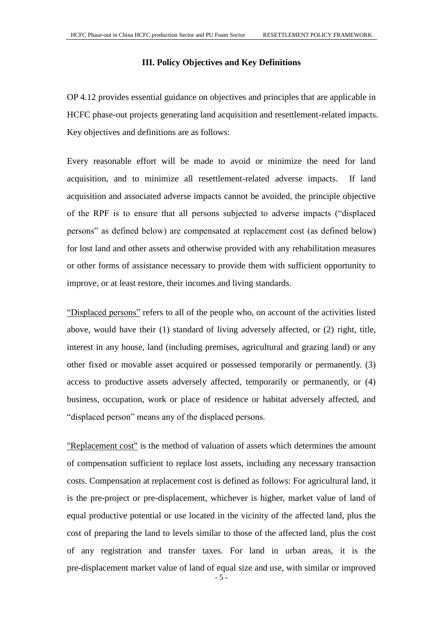# **III. Policy Objectives and Key Definitions**

<span id="page-7-0"></span>OP 4.12 provides essential guidance on objectives and principles that are applicable in HCFC phase-out projects generating land acquisition and resettlement-related impacts. Key objectives and definitions are as follows:

Every reasonable effort will be made to avoid or minimize the need for land acquisition, and to minimize all resettlement-related adverse impacts. If land acquisition and associated adverse impacts cannot be avoided, the principle objective of the RPF is to ensure that all persons subjected to adverse impacts ("displaced persons" as defined below) are compensated at replacement cost (as defined below) for lost land and other assets and otherwise provided with any rehabilitation measures or other forms of assistance necessary to provide them with sufficient opportunity to improve, or at least restore, their incomes and living standards.

"Displaced persons" refers to all of the people who, on account of the activities listed above, would have their (1) standard of living adversely affected, or (2) right, title, interest in any house, land (including premises, agricultural and grazing land) or any other fixed or movable asset acquired or possessed temporarily or permanently. (3) access to productive assets adversely affected, temporarily or permanently, or (4) business, occupation, work or place of residence or habitat adversely affected, and "displaced person" means any of the displaced persons.

- 5 - "Replacement cost" is the method of valuation of assets which determines the amount of compensation sufficient to replace lost assets, including any necessary transaction costs. Compensation at replacement cost is defined as follows: For agricultural land, it is the pre-project or pre-displacement, whichever is higher, market value of land of equal productive potential or use located in the vicinity of the affected land, plus the cost of preparing the land to levels similar to those of the affected land, plus the cost of any registration and transfer taxes. For land in urban areas, it is the pre-displacement market value of land of equal size and use, with similar or improved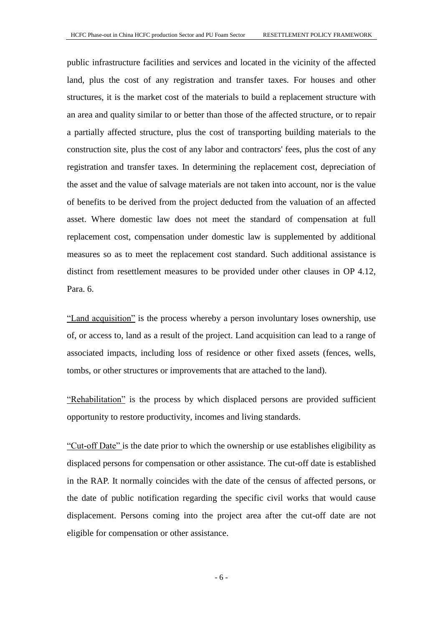public infrastructure facilities and services and located in the vicinity of the affected land, plus the cost of any registration and transfer taxes. For houses and other structures, it is the market cost of the materials to build a replacement structure with an area and quality similar to or better than those of the affected structure, or to repair a partially affected structure, plus the cost of transporting building materials to the construction site, plus the cost of any labor and contractors' fees, plus the cost of any registration and transfer taxes. In determining the replacement cost, depreciation of the asset and the value of salvage materials are not taken into account, nor is the value of benefits to be derived from the project deducted from the valuation of an affected asset. Where domestic law does not meet the standard of compensation at full replacement cost, compensation under domestic law is supplemented by additional measures so as to meet the replacement cost standard. Such additional assistance is distinct from resettlement measures to be provided under other clauses in OP 4.12, Para. 6.

"Land acquisition" is the process whereby a person involuntary loses ownership, use of, or access to, land as a result of the project. Land acquisition can lead to a range of associated impacts, including loss of residence or other fixed assets (fences, wells, tombs, or other structures or improvements that are attached to the land).

"Rehabilitation" is the process by which displaced persons are provided sufficient opportunity to restore productivity, incomes and living standards.

"Cut-off Date" is the date prior to which the ownership or use establishes eligibility as displaced persons for compensation or other assistance. The cut-off date is established in the RAP. It normally coincides with the date of the census of affected persons, or the date of public notification regarding the specific civil works that would cause displacement. Persons coming into the project area after the cut-off date are not eligible for compensation or other assistance.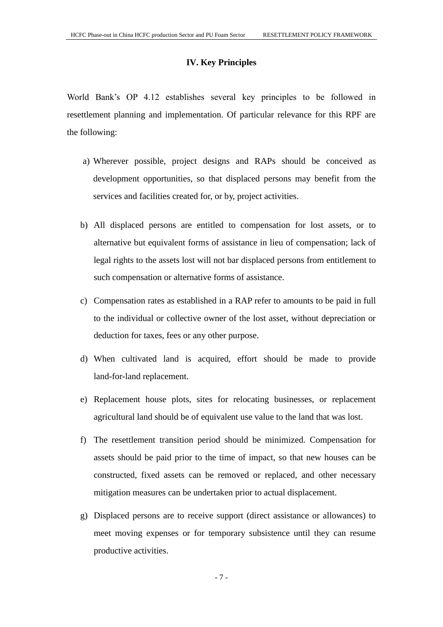# **IV. Key Principles**

<span id="page-9-0"></span>World Bank's OP 4.12 establishes several key principles to be followed in resettlement planning and implementation. Of particular relevance for this RPF are the following:

- a) Wherever possible, project designs and RAPs should be conceived as development opportunities, so that displaced persons may benefit from the services and facilities created for, or by, project activities.
- b) All displaced persons are entitled to compensation for lost assets, or to alternative but equivalent forms of assistance in lieu of compensation; lack of legal rights to the assets lost will not bar displaced persons from entitlement to such compensation or alternative forms of assistance.
- c) Compensation rates as established in a RAP refer to amounts to be paid in full to the individual or collective owner of the lost asset, without depreciation or deduction for taxes, fees or any other purpose.
- d) When cultivated land is acquired, effort should be made to provide land-for-land replacement.
- e) Replacement house plots, sites for relocating businesses, or replacement agricultural land should be of equivalent use value to the land that was lost.
- f) The resettlement transition period should be minimized. Compensation for assets should be paid prior to the time of impact, so that new houses can be constructed, fixed assets can be removed or replaced, and other necessary mitigation measures can be undertaken prior to actual displacement.
- g) Displaced persons are to receive support (direct assistance or allowances) to meet moving expenses or for temporary subsistence until they can resume productive activities.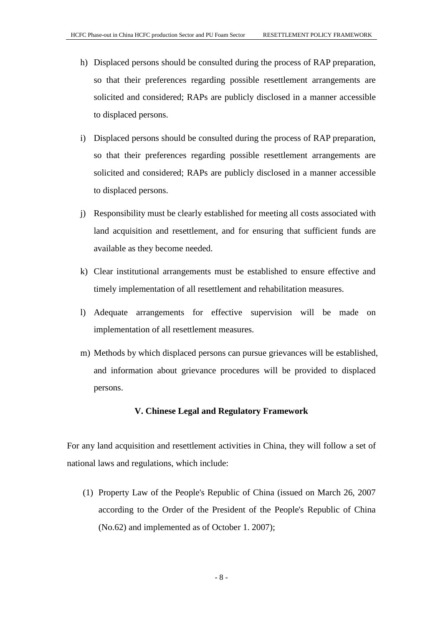- h) Displaced persons should be consulted during the process of RAP preparation, so that their preferences regarding possible resettlement arrangements are solicited and considered; RAPs are publicly disclosed in a manner accessible to displaced persons.
- i) Displaced persons should be consulted during the process of RAP preparation, so that their preferences regarding possible resettlement arrangements are solicited and considered; RAPs are publicly disclosed in a manner accessible to displaced persons.
- j) Responsibility must be clearly established for meeting all costs associated with land acquisition and resettlement, and for ensuring that sufficient funds are available as they become needed.
- k) Clear institutional arrangements must be established to ensure effective and timely implementation of all resettlement and rehabilitation measures.
- l) Adequate arrangements for effective supervision will be made on implementation of all resettlement measures.
- m) Methods by which displaced persons can pursue grievances will be established, and information about grievance procedures will be provided to displaced persons.

# **V. Chinese Legal and Regulatory Framework**

<span id="page-10-0"></span>For any land acquisition and resettlement activities in China, they will follow a set of national laws and regulations, which include:

(1) Property Law of the People's Republic of China (issued on March 26, 2007 according to the Order of the President of the People's Republic of China (No.62) and implemented as of October 1. 2007);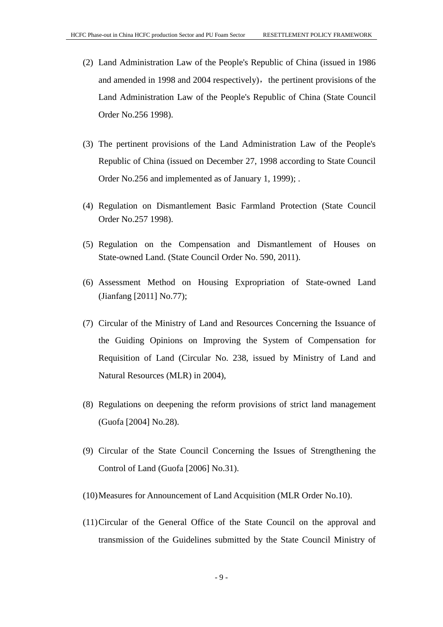- (2) Land Administration Law of the People's Republic of China (issued in 1986 and amended in 1998 and 2004 respectively), the pertinent provisions of the Land Administration Law of the People's Republic of China (State Council Order No.256 1998).
- (3) The pertinent provisions of the Land Administration Law of the People's Republic of China (issued on December 27, 1998 according to State Council Order No.256 and implemented as of January 1, 1999); .
- (4) Regulation on Dismantlement Basic Farmland Protection (State Council Order No.257 1998).
- (5) Regulation on the Compensation and Dismantlement of Houses on State-owned Land. (State Council Order No. 590, 2011).
- (6) Assessment Method on Housing Expropriation of State-owned Land (Jianfang [2011] No.77);
- (7) Circular of the Ministry of Land and Resources Concerning the Issuance of the Guiding Opinions on Improving the System of Compensation for Requisition of Land (Circular No. 238, issued by Ministry of Land and Natural Resources (MLR) in 2004),
- (8) Regulations on deepening the reform provisions of strict land management (Guofa [2004] No.28).
- (9) Circular of the State Council Concerning the Issues of Strengthening the Control of Land (Guofa [2006] No.31).
- (10)Measures for Announcement of Land Acquisition (MLR Order No.10).
- (11)Circular of the General Office of the State Council on the approval and transmission of the Guidelines submitted by the State Council Ministry of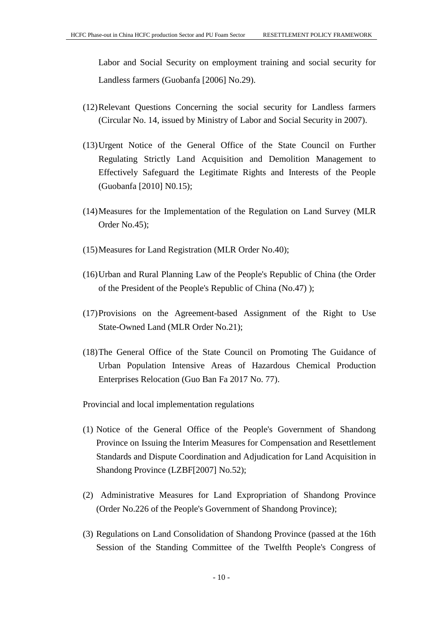Labor and Social Security on employment training and social security for Landless farmers (Guobanfa [2006] No.29).

- (12)Relevant Questions Concerning the social security for Landless farmers (Circular No. 14, issued by Ministry of Labor and Social Security in 2007).
- (13)Urgent Notice of the General Office of the State Council on Further Regulating Strictly Land Acquisition and Demolition Management to Effectively Safeguard the Legitimate Rights and Interests of the People (Guobanfa [2010] N0.15);
- (14)Measures for the Implementation of the Regulation on Land Survey (MLR Order No.45);
- (15)Measures for Land Registration (MLR Order No.40);
- (16)Urban and Rural Planning Law of the People's Republic of China (the Order of the President of the People's Republic of China (No.47) );
- (17)Provisions on the Agreement-based Assignment of the Right to Use State-Owned Land (MLR Order No.21);
- (18)The General Office of the State Council on Promoting The Guidance of Urban Population Intensive Areas of Hazardous Chemical Production Enterprises Relocation (Guo Ban Fa 2017 No. 77).

Provincial and local implementation regulations

- (1) Notice of the General Office of the People's Government of Shandong Province on Issuing the Interim Measures for Compensation and Resettlement Standards and Dispute Coordination and Adjudication for Land Acquisition in Shandong Province (LZBF[2007] No.52);
- (2) Administrative Measures for Land Expropriation of Shandong Province (Order No.226 of the People's Government of Shandong Province);
- (3) Regulations on Land Consolidation of Shandong Province (passed at the 16th Session of the Standing Committee of the Twelfth People's Congress of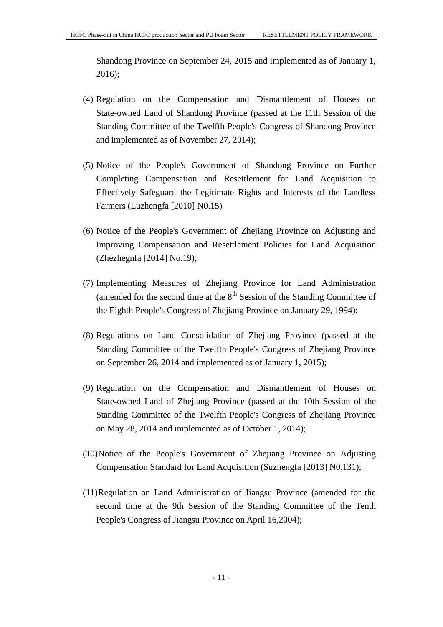Shandong Province on September 24, 2015 and implemented as of January 1, 2016);

- (4) Regulation on the Compensation and Dismantlement of Houses on State-owned Land of Shandong Province (passed at the 11th Session of the Standing Committee of the Twelfth People's Congress of Shandong Province and implemented as of November 27, 2014);
- (5) Notice of the People's Government of Shandong Province on Further Completing Compensation and Resettlement for Land Acquisition to Effectively Safeguard the Legitimate Rights and Interests of the Landless Farmers (Luzhengfa [2010] N0.15)
- (6) Notice of the People's Government of Zhejiang Province on Adjusting and Improving Compensation and Resettlement Policies for Land Acquisition (Zhezhegnfa [2014] No.19);
- (7) Implementing Measures of Zhejiang Province for Land Administration (amended for the second time at the  $8<sup>th</sup>$  Session of the Standing Committee of the Eighth People's Congress of Zhejiang Province on January 29, 1994);
- (8) Regulations on Land Consolidation of Zhejiang Province (passed at the Standing Committee of the Twelfth People's Congress of Zhejiang Province on September 26, 2014 and implemented as of January 1, 2015);
- (9) Regulation on the Compensation and Dismantlement of Houses on State-owned Land of Zhejiang Province (passed at the 10th Session of the Standing Committee of the Twelfth People's Congress of Zhejiang Province on May 28, 2014 and implemented as of October 1, 2014);
- (10)Notice of the People's Government of Zhejiang Province on Adjusting Compensation Standard for Land Acquisition (Suzhengfa [2013] N0.131);
- (11)Regulation on Land Administration of Jiangsu Province (amended for the second time at the 9th Session of the Standing Committee of the Tenth People's Congress of Jiangsu Province on April 16,2004);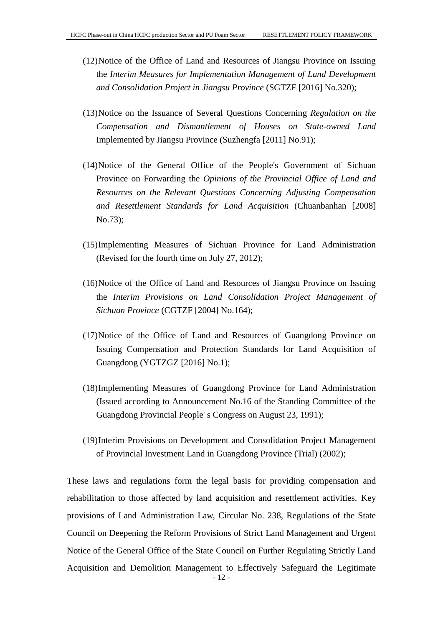- (12)Notice of the Office of Land and Resources of Jiangsu Province on Issuing the *Interim Measures for Implementation Management of Land Development and Consolidation Project in Jiangsu Province* (SGTZF [2016] No.320);
- (13)Notice on the Issuance of Several Questions Concerning *Regulation on the Compensation and Dismantlement of Houses on State-owned Land*  Implemented by Jiangsu Province (Suzhengfa [2011] No.91);
- (14)Notice of the General Office of the People's Government of Sichuan Province on Forwarding the *Opinions of the Provincial Office of Land and Resources on the Relevant Questions Concerning Adjusting Compensation and Resettlement Standards for Land Acquisition* (Chuanbanhan [2008] No.73);
- (15)Implementing Measures of Sichuan Province for Land Administration (Revised for the fourth time on July 27, 2012);
- (16)Notice of the Office of Land and Resources of Jiangsu Province on Issuing the *Interim Provisions on Land Consolidation Project Management of Sichuan Province* (CGTZF [2004] No.164);
- (17)Notice of the Office of Land and Resources of Guangdong Province on Issuing Compensation and Protection Standards for Land Acquisition of Guangdong (YGTZGZ [2016] No.1);
- (18)Implementing Measures of Guangdong Province for Land Administration (Issued according to Announcement No.16 of the Standing Committee of the Guangdong Provincial People' s Congress on August 23, 1991);
- (19)Interim Provisions on Development and Consolidation Project Management of Provincial Investment Land in Guangdong Province (Trial) (2002);

 $-12$ These laws and regulations form the legal basis for providing compensation and rehabilitation to those affected by land acquisition and resettlement activities. Key provisions of Land Administration Law, Circular No. 238, Regulations of the State Council on Deepening the Reform Provisions of Strict Land Management and Urgent Notice of the General Office of the State Council on Further Regulating Strictly Land Acquisition and Demolition Management to Effectively Safeguard the Legitimate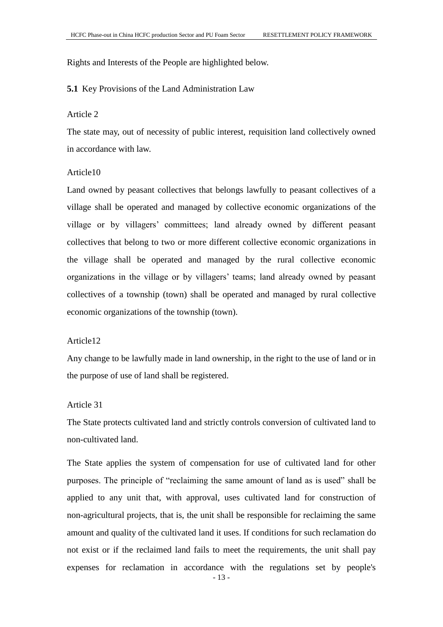Rights and Interests of the People are highlighted below.

#### <span id="page-15-0"></span>**5.1** Key Provisions of the Land Administration Law

#### Article 2

The state may, out of necessity of public interest, requisition land collectively owned in accordance with law.

# Article10

Land owned by peasant collectives that belongs lawfully to peasant collectives of a village shall be operated and managed by collective economic organizations of the village or by villagers' committees; land already owned by different peasant collectives that belong to two or more different collective economic organizations in the village shall be operated and managed by the rural collective economic organizations in the village or by villagers' teams; land already owned by peasant collectives of a township (town) shall be operated and managed by rural collective economic organizations of the township (town).

# Article12

Any change to be lawfully made in land ownership, in the right to the use of land or in the purpose of use of land shall be registered.

# Article 31

The State protects cultivated land and strictly controls conversion of cultivated land to non-cultivated land.

The State applies the system of compensation for use of cultivated land for other purposes. The principle of "reclaiming the same amount of land as is used" shall be applied to any unit that, with approval, uses cultivated land for construction of non-agricultural projects, that is, the unit shall be responsible for reclaiming the same amount and quality of the cultivated land it uses. If conditions for such reclamation do not exist or if the reclaimed land fails to meet the requirements, the unit shall pay expenses for reclamation in accordance with the regulations set by people's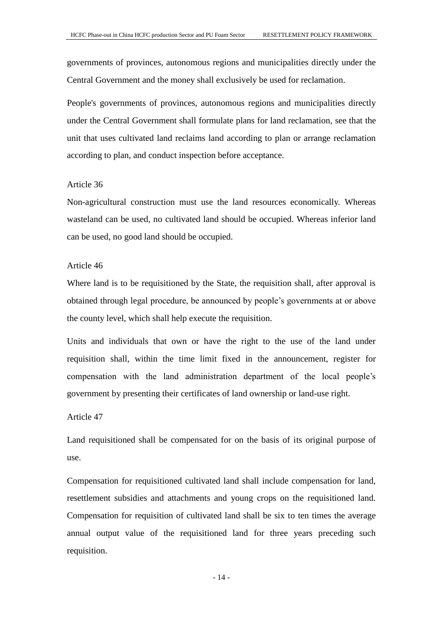governments of provinces, autonomous regions and municipalities directly under the Central Government and the money shall exclusively be used for reclamation.

People's governments of provinces, autonomous regions and municipalities directly under the Central Government shall formulate plans for land reclamation, see that the unit that uses cultivated land reclaims land according to plan or arrange reclamation according to plan, and conduct inspection before acceptance.

# Article 36

Non-agricultural construction must use the land resources economically. Whereas wasteland can be used, no cultivated land should be occupied. Whereas inferior land can be used, no good land should be occupied.

#### Article 46

Where land is to be requisitioned by the State, the requisition shall, after approval is obtained through legal procedure, be announced by people's governments at or above the county level, which shall help execute the requisition.

Units and individuals that own or have the right to the use of the land under requisition shall, within the time limit fixed in the announcement, register for compensation with the land administration department of the local people's government by presenting their certificates of land ownership or land-use right.

#### Article 47

Land requisitioned shall be compensated for on the basis of its original purpose of use.

Compensation for requisitioned cultivated land shall include compensation for land, resettlement subsidies and attachments and young crops on the requisitioned land. Compensation for requisition of cultivated land shall be six to ten times the average annual output value of the requisitioned land for three years preceding such requisition.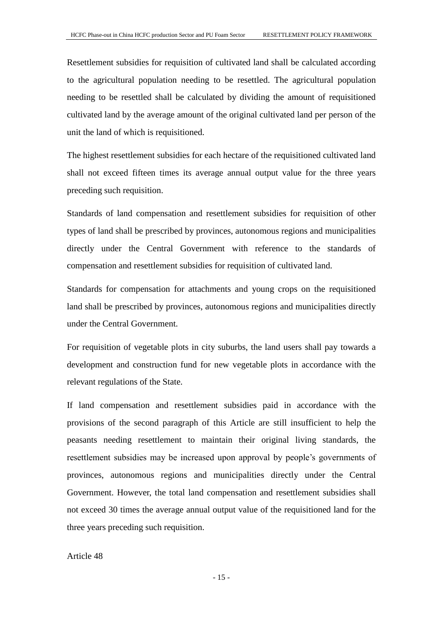Resettlement subsidies for requisition of cultivated land shall be calculated according to the agricultural population needing to be resettled. The agricultural population needing to be resettled shall be calculated by dividing the amount of requisitioned cultivated land by the average amount of the original cultivated land per person of the unit the land of which is requisitioned.

The highest resettlement subsidies for each hectare of the requisitioned cultivated land shall not exceed fifteen times its average annual output value for the three years preceding such requisition.

Standards of land compensation and resettlement subsidies for requisition of other types of land shall be prescribed by provinces, autonomous regions and municipalities directly under the Central Government with reference to the standards of compensation and resettlement subsidies for requisition of cultivated land.

Standards for compensation for attachments and young crops on the requisitioned land shall be prescribed by provinces, autonomous regions and municipalities directly under the Central Government.

For requisition of vegetable plots in city suburbs, the land users shall pay towards a development and construction fund for new vegetable plots in accordance with the relevant regulations of the State.

If land compensation and resettlement subsidies paid in accordance with the provisions of the second paragraph of this Article are still insufficient to help the peasants needing resettlement to maintain their original living standards, the resettlement subsidies may be increased upon approval by people's governments of provinces, autonomous regions and municipalities directly under the Central Government. However, the total land compensation and resettlement subsidies shall not exceed 30 times the average annual output value of the requisitioned land for the three years preceding such requisition.

Article 48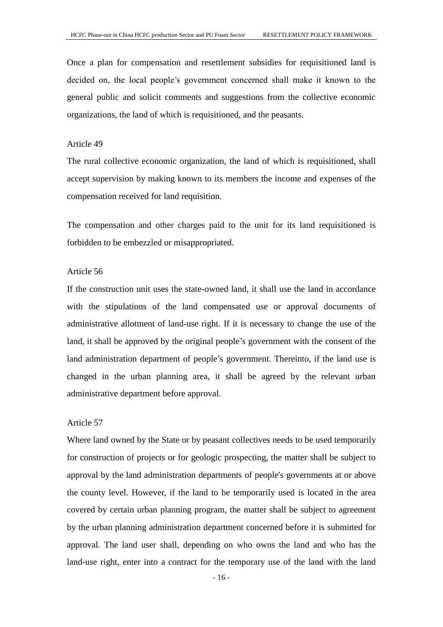Once a plan for compensation and resettlement subsidies for requisitioned land is decided on, the local people's government concerned shall make it known to the general public and solicit comments and suggestions from the collective economic organizations, the land of which is requisitioned, and the peasants.

# Article 49

The rural collective economic organization, the land of which is requisitioned, shall accept supervision by making known to its members the income and expenses of the compensation received for land requisition.

The compensation and other charges paid to the unit for its land requisitioned is forbidden to be embezzled or misappropriated.

#### Article 56

If the construction unit uses the state-owned land, it shall use the land in accordance with the stipulations of the land compensated use or approval documents of administrative allotment of land-use right. If it is necessary to change the use of the land, it shall be approved by the original people's government with the consent of the land administration department of people's government. Thereinto, if the land use is changed in the urban planning area, it shall be agreed by the relevant urban administrative department before approval.

#### Article 57

Where land owned by the State or by peasant collectives needs to be used temporarily for construction of projects or for geologic prospecting, the matter shall be subject to approval by the land administration departments of people's governments at or above the county level. However, if the land to be temporarily used is located in the area covered by certain urban planning program, the matter shall be subject to agreement by the urban planning administration department concerned before it is submitted for approval. The land user shall, depending on who owns the land and who has the land-use right, enter into a contract for the temporary use of the land with the land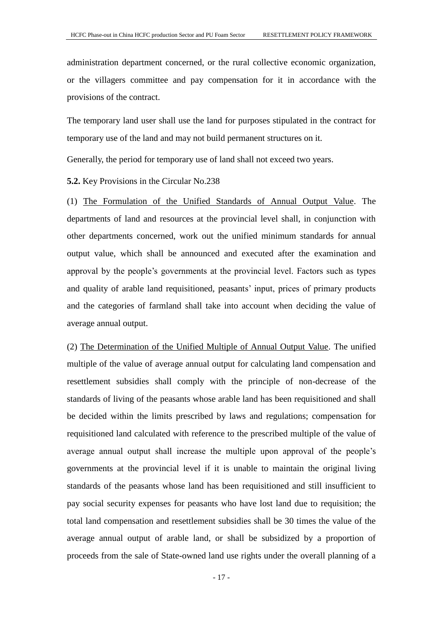administration department concerned, or the rural collective economic organization, or the villagers committee and pay compensation for it in accordance with the provisions of the contract.

The temporary land user shall use the land for purposes stipulated in the contract for temporary use of the land and may not build permanent structures on it.

Generally, the period for temporary use of land shall not exceed two years.

<span id="page-19-0"></span>**5.2.** Key Provisions in the Circular No.238

(1) The Formulation of the Unified Standards of Annual Output Value. The departments of land and resources at the provincial level shall, in conjunction with other departments concerned, work out the unified minimum standards for annual output value, which shall be announced and executed after the examination and approval by the people's governments at the provincial level. Factors such as types and quality of arable land requisitioned, peasants' input, prices of primary products and the categories of farmland shall take into account when deciding the value of average annual output.

(2) The Determination of the Unified Multiple of Annual Output Value. The unified multiple of the value of average annual output for calculating land compensation and resettlement subsidies shall comply with the principle of non-decrease of the standards of living of the peasants whose arable land has been requisitioned and shall be decided within the limits prescribed by laws and regulations; compensation for requisitioned land calculated with reference to the prescribed multiple of the value of average annual output shall increase the multiple upon approval of the people's governments at the provincial level if it is unable to maintain the original living standards of the peasants whose land has been requisitioned and still insufficient to pay social security expenses for peasants who have lost land due to requisition; the total land compensation and resettlement subsidies shall be 30 times the value of the average annual output of arable land, or shall be subsidized by a proportion of proceeds from the sale of State-owned land use rights under the overall planning of a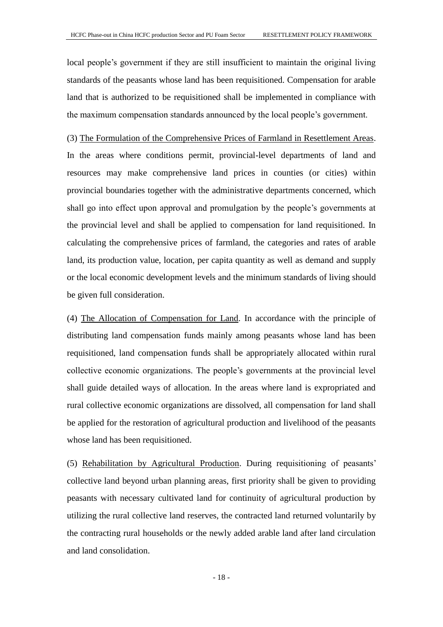local people's government if they are still insufficient to maintain the original living standards of the peasants whose land has been requisitioned. Compensation for arable land that is authorized to be requisitioned shall be implemented in compliance with the maximum compensation standards announced by the local people's government.

(3) The Formulation of the Comprehensive Prices of Farmland in Resettlement Areas. In the areas where conditions permit, provincial-level departments of land and resources may make comprehensive land prices in counties (or cities) within provincial boundaries together with the administrative departments concerned, which shall go into effect upon approval and promulgation by the people's governments at the provincial level and shall be applied to compensation for land requisitioned. In calculating the comprehensive prices of farmland, the categories and rates of arable land, its production value, location, per capita quantity as well as demand and supply or the local economic development levels and the minimum standards of living should be given full consideration.

(4) The Allocation of Compensation for Land. In accordance with the principle of distributing land compensation funds mainly among peasants whose land has been requisitioned, land compensation funds shall be appropriately allocated within rural collective economic organizations. The people's governments at the provincial level shall guide detailed ways of allocation. In the areas where land is expropriated and rural collective economic organizations are dissolved, all compensation for land shall be applied for the restoration of agricultural production and livelihood of the peasants whose land has been requisitioned.

(5) Rehabilitation by Agricultural Production. During requisitioning of peasants' collective land beyond urban planning areas, first priority shall be given to providing peasants with necessary cultivated land for continuity of agricultural production by utilizing the rural collective land reserves, the contracted land returned voluntarily by the contracting rural households or the newly added arable land after land circulation and land consolidation.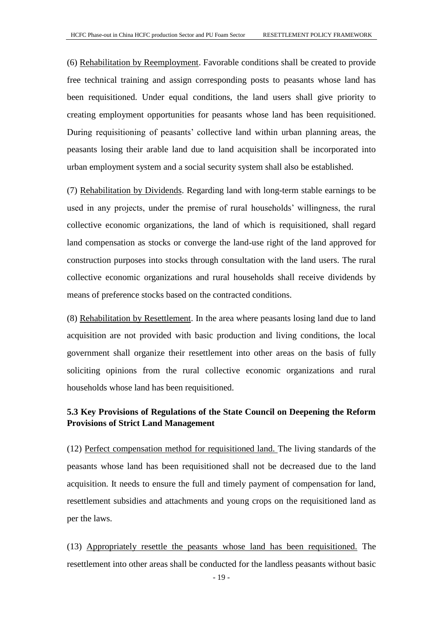(6) Rehabilitation by Reemployment. Favorable conditions shall be created to provide free technical training and assign corresponding posts to peasants whose land has been requisitioned. Under equal conditions, the land users shall give priority to creating employment opportunities for peasants whose land has been requisitioned. During requisitioning of peasants' collective land within urban planning areas, the peasants losing their arable land due to land acquisition shall be incorporated into urban employment system and a social security system shall also be established.

(7) Rehabilitation by Dividends. Regarding land with long-term stable earnings to be used in any projects, under the premise of rural households' willingness, the rural collective economic organizations, the land of which is requisitioned, shall regard land compensation as stocks or converge the land-use right of the land approved for construction purposes into stocks through consultation with the land users. The rural collective economic organizations and rural households shall receive dividends by means of preference stocks based on the contracted conditions.

(8) Rehabilitation by Resettlement. In the area where peasants losing land due to land acquisition are not provided with basic production and living conditions, the local government shall organize their resettlement into other areas on the basis of fully soliciting opinions from the rural collective economic organizations and rural households whose land has been requisitioned.

# <span id="page-21-0"></span>**5.3 Key Provisions of Regulations of the State Council on Deepening the Reform Provisions of Strict Land Management**

(12) Perfect compensation method for requisitioned land. The living standards of the peasants whose land has been requisitioned shall not be decreased due to the land acquisition. It needs to ensure the full and timely payment of compensation for land, resettlement subsidies and attachments and young crops on the requisitioned land as per the laws.

(13) Appropriately resettle the peasants whose land has been requisitioned. The resettlement into other areas shall be conducted for the landless peasants without basic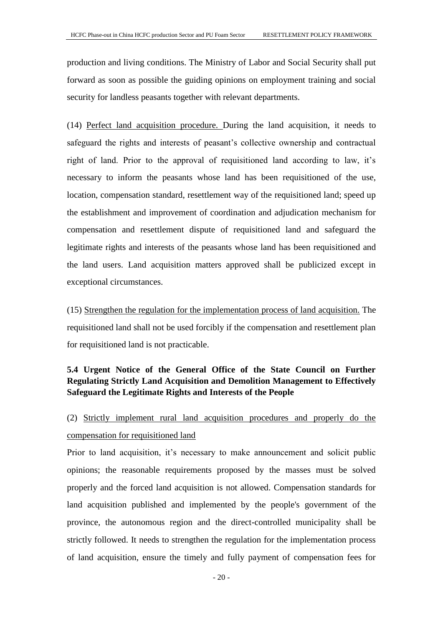production and living conditions. The Ministry of Labor and Social Security shall put forward as soon as possible the guiding opinions on employment training and social security for landless peasants together with relevant departments.

(14) Perfect land acquisition procedure. During the land acquisition, it needs to safeguard the rights and interests of peasant's collective ownership and contractual right of land. Prior to the approval of requisitioned land according to law, it's necessary to inform the peasants whose land has been requisitioned of the use, location, compensation standard, resettlement way of the requisitioned land; speed up the establishment and improvement of coordination and adjudication mechanism for compensation and resettlement dispute of requisitioned land and safeguard the legitimate rights and interests of the peasants whose land has been requisitioned and the land users. Land acquisition matters approved shall be publicized except in exceptional circumstances.

(15) Strengthen the regulation for the implementation process of land acquisition. The requisitioned land shall not be used forcibly if the compensation and resettlement plan for requisitioned land is not practicable.

# <span id="page-22-0"></span>**5.4 Urgent Notice of the General Office of the State Council on Further Regulating Strictly Land Acquisition and Demolition Management to Effectively Safeguard the Legitimate Rights and Interests of the People**

# (2) Strictly implement rural land acquisition procedures and properly do the compensation for requisitioned land

Prior to land acquisition, it's necessary to make announcement and solicit public opinions; the reasonable requirements proposed by the masses must be solved properly and the forced land acquisition is not allowed. Compensation standards for land acquisition published and implemented by the people's government of the province, the autonomous region and the direct-controlled municipality shall be strictly followed. It needs to strengthen the regulation for the implementation process of land acquisition, ensure the timely and fully payment of compensation fees for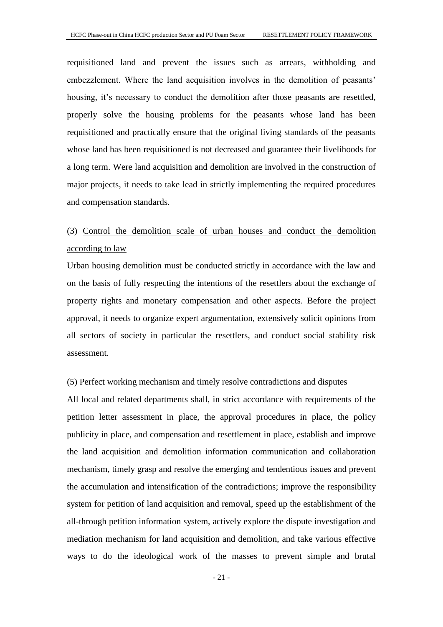requisitioned land and prevent the issues such as arrears, withholding and embezzlement. Where the land acquisition involves in the demolition of peasants' housing, it's necessary to conduct the demolition after those peasants are resettled, properly solve the housing problems for the peasants whose land has been requisitioned and practically ensure that the original living standards of the peasants whose land has been requisitioned is not decreased and guarantee their livelihoods for a long term. Were land acquisition and demolition are involved in the construction of major projects, it needs to take lead in strictly implementing the required procedures and compensation standards.

# (3) Control the demolition scale of urban houses and conduct the demolition according to law

Urban housing demolition must be conducted strictly in accordance with the law and on the basis of fully respecting the intentions of the resettlers about the exchange of property rights and monetary compensation and other aspects. Before the project approval, it needs to organize expert argumentation, extensively solicit opinions from all sectors of society in particular the resettlers, and conduct social stability risk assessment.

#### (5) Perfect working mechanism and timely resolve contradictions and disputes

All local and related departments shall, in strict accordance with requirements of the petition letter assessment in place, the approval procedures in place, the policy publicity in place, and compensation and resettlement in place, establish and improve the land acquisition and demolition information communication and collaboration mechanism, timely grasp and resolve the emerging and tendentious issues and prevent the accumulation and intensification of the contradictions; improve the responsibility system for petition of land acquisition and removal, speed up the establishment of the all-through petition information system, actively explore the dispute investigation and mediation mechanism for land acquisition and demolition, and take various effective ways to do the ideological work of the masses to prevent simple and brutal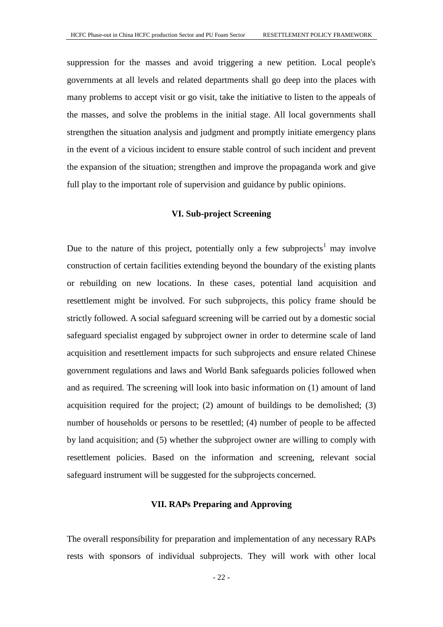suppression for the masses and avoid triggering a new petition. Local people's governments at all levels and related departments shall go deep into the places with many problems to accept visit or go visit, take the initiative to listen to the appeals of the masses, and solve the problems in the initial stage. All local governments shall strengthen the situation analysis and judgment and promptly initiate emergency plans in the event of a vicious incident to ensure stable control of such incident and prevent the expansion of the situation; strengthen and improve the propaganda work and give full play to the important role of supervision and guidance by public opinions.

# **VI. Sub-project Screening**

<span id="page-24-0"></span>Due to the nature of this project, potentially only a few subprojects<sup>1</sup> may involve construction of certain facilities extending beyond the boundary of the existing plants or rebuilding on new locations. In these cases, potential land acquisition and resettlement might be involved. For such subprojects, this policy frame should be strictly followed. A social safeguard screening will be carried out by a domestic social safeguard specialist engaged by subproject owner in order to determine scale of land acquisition and resettlement impacts for such subprojects and ensure related Chinese government regulations and laws and World Bank safeguards policies followed when and as required. The screening will look into basic information on (1) amount of land acquisition required for the project;  $(2)$  amount of buildings to be demolished;  $(3)$ number of households or persons to be resettled; (4) number of people to be affected by land acquisition; and (5) whether the subproject owner are willing to comply with resettlement policies. Based on the information and screening, relevant social safeguard instrument will be suggested for the subprojects concerned.

# **VII. RAPs Preparing and Approving**

<span id="page-24-1"></span>The overall responsibility for preparation and implementation of any necessary RAPs rests with sponsors of individual subprojects. They will work with other local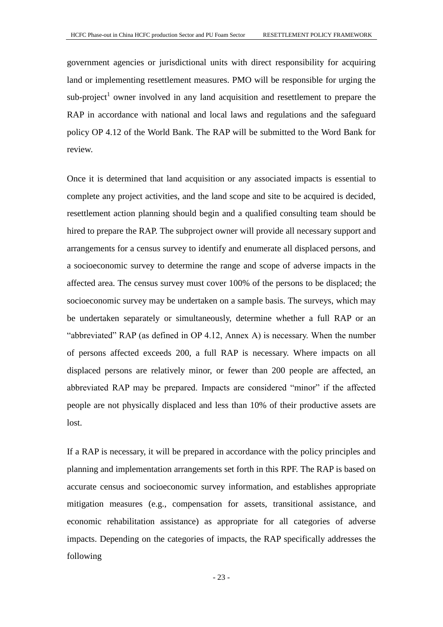government agencies or jurisdictional units with direct responsibility for acquiring land or implementing resettlement measures. PMO will be responsible for urging the  $sub-project<sup>1</sup>$  owner involved in any land acquisition and resettlement to prepare the RAP in accordance with national and local laws and regulations and the safeguard policy OP 4.12 of the World Bank. The RAP will be submitted to the Word Bank for review.

Once it is determined that land acquisition or any associated impacts is essential to complete any project activities, and the land scope and site to be acquired is decided, resettlement action planning should begin and a qualified consulting team should be hired to prepare the RAP. The subproject owner will provide all necessary support and arrangements for a census survey to identify and enumerate all displaced persons, and a socioeconomic survey to determine the range and scope of adverse impacts in the affected area. The census survey must cover 100% of the persons to be displaced; the socioeconomic survey may be undertaken on a sample basis. The surveys, which may be undertaken separately or simultaneously, determine whether a full RAP or an "abbreviated" RAP (as defined in OP 4.12, Annex A) is necessary. When the number of persons affected exceeds 200, a full RAP is necessary. Where impacts on all displaced persons are relatively minor, or fewer than 200 people are affected, an abbreviated RAP may be prepared. Impacts are considered "minor" if the affected people are not physically displaced and less than 10% of their productive assets are lost.

If a RAP is necessary, it will be prepared in accordance with the policy principles and planning and implementation arrangements set forth in this RPF. The RAP is based on accurate census and socioeconomic survey information, and establishes appropriate mitigation measures (e.g., compensation for assets, transitional assistance, and economic rehabilitation assistance) as appropriate for all categories of adverse impacts. Depending on the categories of impacts, the RAP specifically addresses the following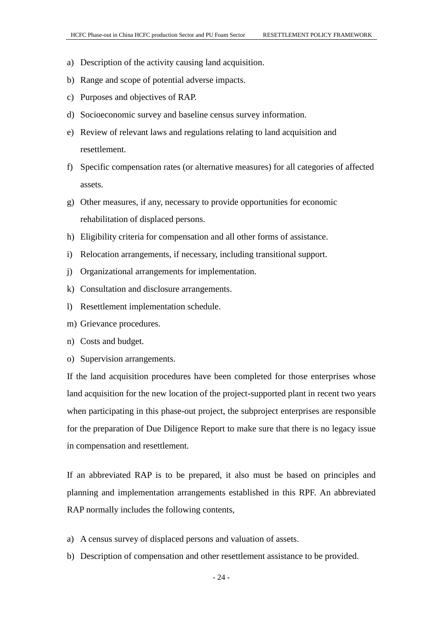- a) Description of the activity causing land acquisition.
- b) Range and scope of potential adverse impacts.
- c) Purposes and objectives of RAP.
- d) Socioeconomic survey and baseline census survey information.
- e) Review of relevant laws and regulations relating to land acquisition and resettlement.
- f) Specific compensation rates (or alternative measures) for all categories of affected assets.
- g) Other measures, if any, necessary to provide opportunities for economic rehabilitation of displaced persons.
- h) Eligibility criteria for compensation and all other forms of assistance.
- i) Relocation arrangements, if necessary, including transitional support.
- j) Organizational arrangements for implementation.
- k) Consultation and disclosure arrangements.
- l) Resettlement implementation schedule.
- m) Grievance procedures.
- n) Costs and budget.
- o) Supervision arrangements.

If the land acquisition procedures have been completed for those enterprises whose land acquisition for the new location of the project-supported plant in recent two years when participating in this phase-out project, the subproject enterprises are responsible for the preparation of Due Diligence Report to make sure that there is no legacy issue in compensation and resettlement.

If an abbreviated RAP is to be prepared, it also must be based on principles and planning and implementation arrangements established in this RPF. An abbreviated RAP normally includes the following contents,

- a) A census survey of displaced persons and valuation of assets.
- b) Description of compensation and other resettlement assistance to be provided.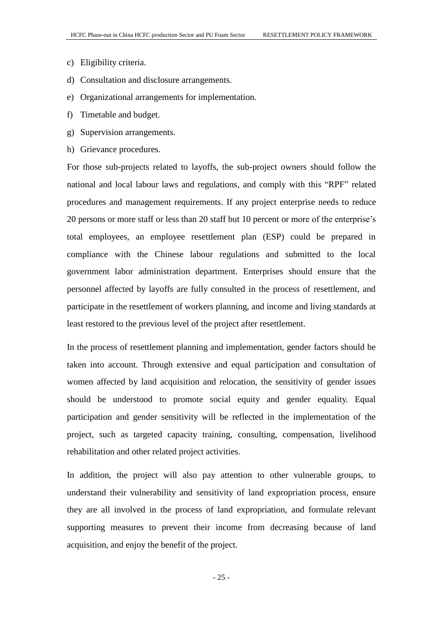- c) Eligibility criteria.
- d) Consultation and disclosure arrangements.
- e) Organizational arrangements for implementation.
- f) Timetable and budget.
- g) Supervision arrangements.
- h) Grievance procedures.

For those sub-projects related to layoffs, the sub-project owners should follow the national and local labour laws and regulations, and comply with this "RPF" related procedures and management requirements. If any project enterprise needs to reduce 20 persons or more staff or less than 20 staff but 10 percent or more of the enterprise's total employees, an employee resettlement plan (ESP) could be prepared in compliance with the Chinese labour regulations and submitted to the local government labor administration department. Enterprises should ensure that the personnel affected by layoffs are fully consulted in the process of resettlement, and participate in the resettlement of workers planning, and income and living standards at least restored to the previous level of the project after resettlement.

In the process of resettlement planning and implementation, gender factors should be taken into account. Through extensive and equal participation and consultation of women affected by land acquisition and relocation, the sensitivity of gender issues should be understood to promote social equity and gender equality. Equal participation and gender sensitivity will be reflected in the implementation of the project, such as targeted capacity training, consulting, compensation, livelihood rehabilitation and other related project activities.

In addition, the project will also pay attention to other vulnerable groups, to understand their vulnerability and sensitivity of land expropriation process, ensure they are all involved in the process of land expropriation, and formulate relevant supporting measures to prevent their income from decreasing because of land acquisition, and enjoy the benefit of the project.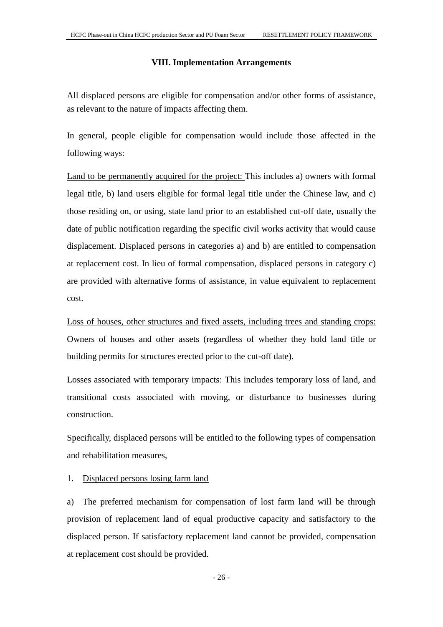# **VIII. Implementation Arrangements**

<span id="page-28-0"></span>All displaced persons are eligible for compensation and/or other forms of assistance, as relevant to the nature of impacts affecting them.

In general, people eligible for compensation would include those affected in the following ways:

Land to be permanently acquired for the project: This includes a) owners with formal legal title, b) land users eligible for formal legal title under the Chinese law, and c) those residing on, or using, state land prior to an established cut-off date, usually the date of public notification regarding the specific civil works activity that would cause displacement. Displaced persons in categories a) and b) are entitled to compensation at replacement cost. In lieu of formal compensation, displaced persons in category c) are provided with alternative forms of assistance, in value equivalent to replacement cost.

Loss of houses, other structures and fixed assets, including trees and standing crops: Owners of houses and other assets (regardless of whether they hold land title or building permits for structures erected prior to the cut-off date).

Losses associated with temporary impacts: This includes temporary loss of land, and transitional costs associated with moving, or disturbance to businesses during construction.

Specifically, displaced persons will be entitled to the following types of compensation and rehabilitation measures,

#### 1. Displaced persons losing farm land

a) The preferred mechanism for compensation of lost farm land will be through provision of replacement land of equal productive capacity and satisfactory to the displaced person. If satisfactory replacement land cannot be provided, compensation at replacement cost should be provided.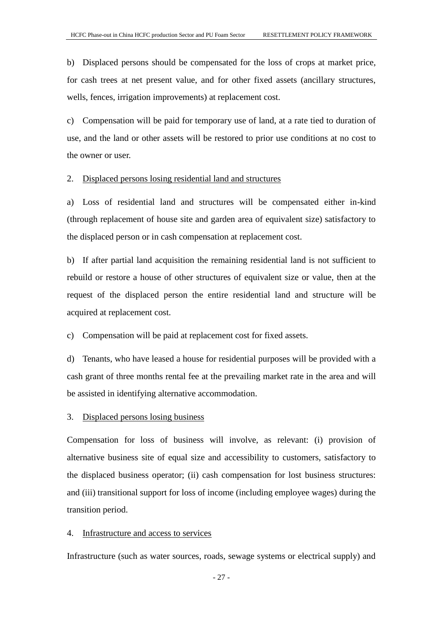b) Displaced persons should be compensated for the loss of crops at market price, for cash trees at net present value, and for other fixed assets (ancillary structures, wells, fences, irrigation improvements) at replacement cost.

c) Compensation will be paid for temporary use of land, at a rate tied to duration of use, and the land or other assets will be restored to prior use conditions at no cost to the owner or user.

#### 2. Displaced persons losing residential land and structures

a) Loss of residential land and structures will be compensated either in-kind (through replacement of house site and garden area of equivalent size) satisfactory to the displaced person or in cash compensation at replacement cost.

b) If after partial land acquisition the remaining residential land is not sufficient to rebuild or restore a house of other structures of equivalent size or value, then at the request of the displaced person the entire residential land and structure will be acquired at replacement cost.

c) Compensation will be paid at replacement cost for fixed assets.

d) Tenants, who have leased a house for residential purposes will be provided with a cash grant of three months rental fee at the prevailing market rate in the area and will be assisted in identifying alternative accommodation.

# 3. Displaced persons losing business

Compensation for loss of business will involve, as relevant: (i) provision of alternative business site of equal size and accessibility to customers, satisfactory to the displaced business operator; (ii) cash compensation for lost business structures: and (iii) transitional support for loss of income (including employee wages) during the transition period.

# 4. Infrastructure and access to services

Infrastructure (such as water sources, roads, sewage systems or electrical supply) and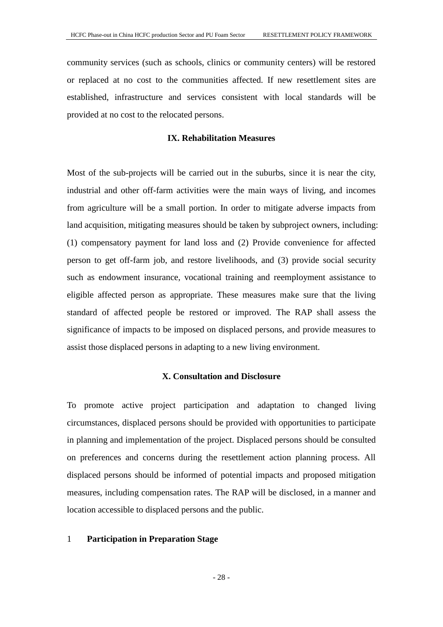community services (such as schools, clinics or community centers) will be restored or replaced at no cost to the communities affected. If new resettlement sites are established, infrastructure and services consistent with local standards will be provided at no cost to the relocated persons.

# **IX. Rehabilitation Measures**

<span id="page-30-0"></span>Most of the sub-projects will be carried out in the suburbs, since it is near the city, industrial and other off-farm activities were the main ways of living, and incomes from agriculture will be a small portion. In order to mitigate adverse impacts from land acquisition, mitigating measures should be taken by subproject owners, including: (1) compensatory payment for land loss and (2) Provide convenience for affected person to get off-farm job, and restore livelihoods, and (3) provide social security such as [endowment](app:ds:endowment) [insurance,](app:ds:insurance) vocational training and reemployment assistance to eligible affected person as appropriate. These measures make sure that the living standard of affected people be restored or improved. The RAP shall assess the significance of impacts to be imposed on displaced persons, and provide measures to assist those displaced persons in adapting to a new living environment.

# **X. Consultation and Disclosure**

<span id="page-30-1"></span>To promote active project participation and adaptation to changed living circumstances, displaced persons should be provided with opportunities to participate in planning and implementation of the project. Displaced persons should be consulted on preferences and concerns during the resettlement action planning process. All displaced persons should be informed of potential impacts and proposed mitigation measures, including compensation rates. The RAP will be disclosed, in a manner and location accessible to displaced persons and the public.

#### 1 **Participation in Preparation Stage**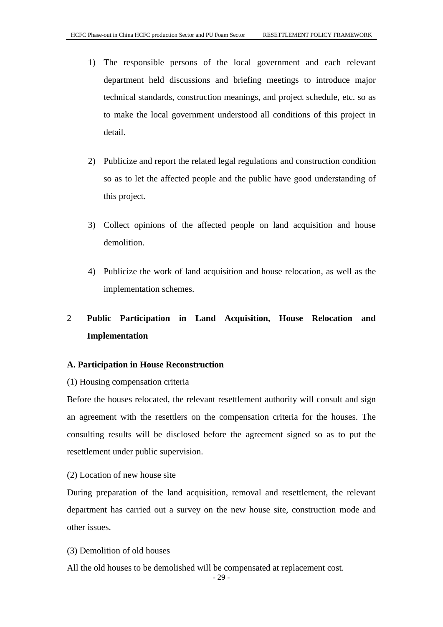- 1) The responsible persons of the local government and each relevant department held discussions and briefing meetings to introduce major technical standards, construction meanings, and project schedule, etc. so as to make the local government understood all conditions of this project in detail.
- 2) Publicize and report the related legal regulations and construction condition so as to let the affected people and the public have good understanding of this project.
- 3) Collect opinions of the affected people on land acquisition and house demolition.
- 4) Publicize the work of land acquisition and house relocation, as well as the implementation schemes.

# 2 **Public Participation in Land Acquisition, House Relocation and Implementation**

# **A. Participation in House Reconstruction**

#### (1) Housing compensation criteria

Before the houses relocated, the relevant resettlement authority will consult and sign an agreement with the resettlers on the compensation criteria for the houses. The consulting results will be disclosed before the agreement signed so as to put the resettlement under public supervision.

(2) Location of new house site

During preparation of the land acquisition, removal and resettlement, the relevant department has carried out a survey on the new house site, construction mode and other issues.

(3) Demolition of old houses

All the old houses to be demolished will be compensated at replacement cost.

- 29 -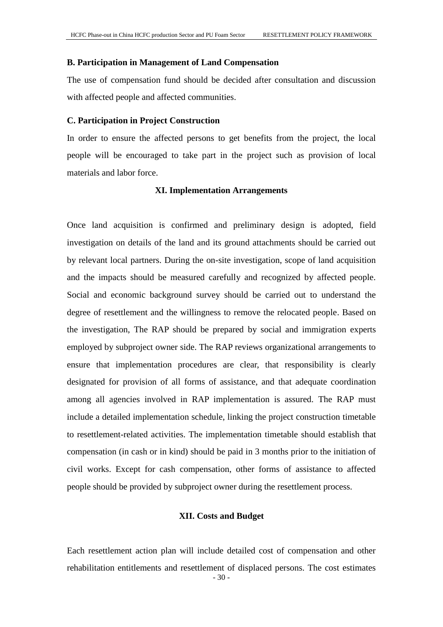#### **B. Participation in Management of Land Compensation**

The use of compensation fund should be decided after consultation and discussion with affected people and affected communities.

#### **C. Participation in Project Construction**

In order to ensure the affected persons to get benefits from the project, the local people will be encouraged to take part in the project such as provision of local materials and labor force.

# **XI. Implementation Arrangements**

<span id="page-32-0"></span>Once land acquisition is confirmed and preliminary design is adopted, field investigation on details of the land and its ground attachments should be carried out by relevant local partners. During the on-site investigation, scope of land acquisition and the impacts should be measured carefully and recognized by affected people. Social and economic background survey should be carried out to understand the degree of resettlement and the willingness to remove the relocated people. Based on the investigation, The RAP should be prepared by social and immigration experts employed by subproject owner side. The RAP reviews organizational arrangements to ensure that implementation procedures are clear, that responsibility is clearly designated for provision of all forms of assistance, and that adequate coordination among all agencies involved in RAP implementation is assured. The RAP must include a detailed implementation schedule, linking the project construction timetable to resettlement-related activities. The implementation timetable should establish that compensation (in cash or in kind) should be paid in 3 months prior to the initiation of civil works. Except for cash compensation, other forms of assistance to affected people should be provided by subproject owner during the resettlement process.

#### **XII. Costs and Budget**

<span id="page-32-1"></span> $-30-$ Each resettlement action plan will include detailed cost of compensation and other rehabilitation entitlements and resettlement of displaced persons. The cost estimates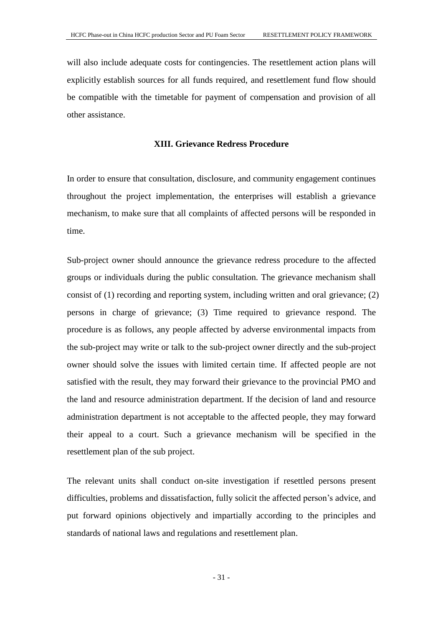will also include adequate costs for contingencies. The resettlement action plans will explicitly establish sources for all funds required, and resettlement fund flow should be compatible with the timetable for payment of compensation and provision of all other assistance.

# **XIII. Grievance Redress Procedure**

<span id="page-33-0"></span>In order to ensure that consultation, disclosure, and community engagement continues throughout the project implementation, the enterprises will establish a grievance mechanism, to make sure that all complaints of affected persons will be responded in time.

Sub-project owner should announce the grievance redress procedure to the affected groups or individuals during the public consultation. The grievance mechanism shall consist of (1) recording and reporting system, including written and oral grievance; (2) persons in charge of grievance; (3) Time required to grievance respond. The procedure is as follows, any people affected by adverse environmental impacts from the sub-project may write or talk to the sub-project owner directly and the sub-project owner should solve the issues with limited certain time. If affected people are not satisfied with the result, they may forward their grievance to the provincial PMO and the land and resource administration department. If the decision of land and resource administration department is not acceptable to the affected people, they may forward their appeal to a court. Such a grievance mechanism will be specified in the resettlement plan of the sub project.

The relevant units shall conduct on-site investigation if resettled persons present difficulties, problems and dissatisfaction, fully solicit the affected person's advice, and put forward opinions objectively and impartially according to the principles and standards of national laws and regulations and resettlement plan.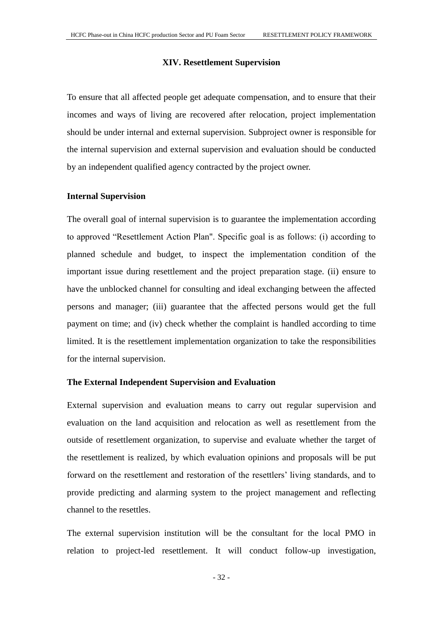# **XIV. Resettlement Supervision**

<span id="page-34-0"></span>To ensure that all affected people get adequate compensation, and to ensure that their incomes and ways of living are recovered after relocation, project implementation should be under internal and external supervision. Subproject owner is responsible for the internal supervision and external supervision and evaluation should be conducted by an independent qualified agency contracted by the project owner.

#### **Internal Supervision**

The overall goal of internal supervision is to guarantee the implementation according to approved "Resettlement Action Plan". Specific goal is as follows: (i) according to planned schedule and budget, to inspect the implementation condition of the important issue during resettlement and the project preparation stage. (ii) ensure to have the unblocked channel for consulting and ideal exchanging between the affected persons and manager; (iii) guarantee that the affected persons would get the full payment on time; and (iv) check whether the complaint is handled according to time limited. It is the resettlement implementation organization to take the responsibilities for the internal supervision.

#### **The External Independent Supervision and Evaluation**

External supervision and evaluation means to carry out regular supervision and evaluation on the land acquisition and relocation as well as resettlement from the outside of resettlement organization, to supervise and evaluate whether the target of the resettlement is realized, by which evaluation opinions and proposals will be put forward on the resettlement and restoration of the resettlers' living standards, and to provide predicting and alarming system to the project management and reflecting channel to the resettles.

The external supervision institution will be the consultant for the local PMO in relation to project-led resettlement. It will conduct follow-up investigation,